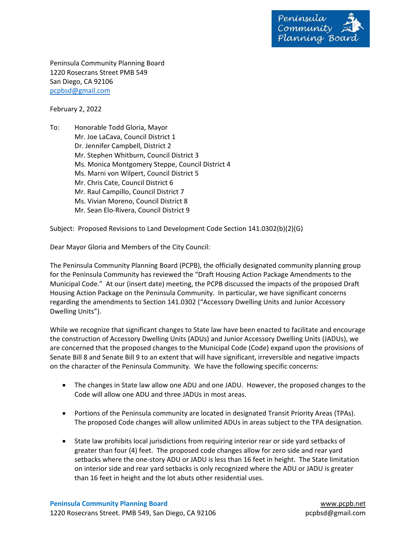

Peninsula Community Planning Board 1220 Rosecrans Street PMB 549 San Diego, CA 92106 pcpbsd@gmail.com

February 2, 2022

To: Honorable Todd Gloria, Mayor Mr. Joe LaCava, Council District 1 Dr. Jennifer Campbell, District 2 Mr. Stephen Whitburn, Council District 3 Ms. Monica Montgomery Steppe, Council District 4 Ms. Marni von Wilpert, Council District 5 Mr. Chris Cate, Council District 6 Mr. Raul Campillo, Council District 7 Ms. Vivian Moreno, Council District 8 Mr. Sean Elo‐Rivera, Council District 9

Subject: Proposed Revisions to Land Development Code Section 141.0302(b)(2)(G)

Dear Mayor Gloria and Members of the City Council:

The Peninsula Community Planning Board (PCPB), the officially designated community planning group for the Peninsula Community has reviewed the "Draft Housing Action Package Amendments to the Municipal Code." At our (insert date) meeting, the PCPB discussed the impacts of the proposed Draft Housing Action Package on the Peninsula Community. In particular, we have significant concerns regarding the amendments to Section 141.0302 ("Accessory Dwelling Units and Junior Accessory Dwelling Units").

While we recognize that significant changes to State law have been enacted to facilitate and encourage the construction of Accessory Dwelling Units (ADUs) and Junior Accessory Dwelling Units (JADUs), we are concerned that the proposed changes to the Municipal Code (Code) expand upon the provisions of Senate Bill 8 and Senate Bill 9 to an extent that will have significant, irreversible and negative impacts on the character of the Peninsula Community. We have the following specific concerns:

- The changes in State law allow one ADU and one JADU. However, the proposed changes to the Code will allow one ADU and three JADUs in most areas.
- Portions of the Peninsula community are located in designated Transit Priority Areas (TPAs). The proposed Code changes will allow unlimited ADUs in areas subject to the TPA designation.
- State law prohibits local jurisdictions from requiring interior rear or side yard setbacks of greater than four (4) feet. The proposed code changes allow for zero side and rear yard setbacks where the one-story ADU or JADU is less than 16 feet in height. The State limitation on interior side and rear yard setbacks is only recognized where the ADU or JADU is greater than 16 feet in height and the lot abuts other residential uses.